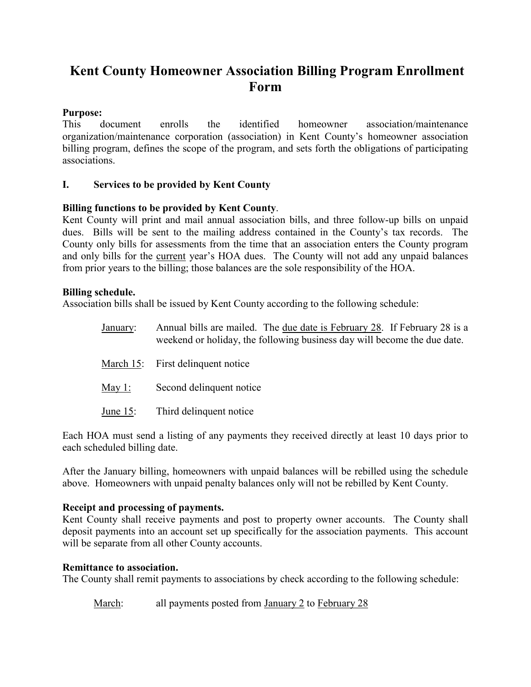# **Kent County Homeowner Association Billing Program Enrollment Form**

# **Purpose:**<br>This c

document enrolls the identified homeowner association/maintenance organization/maintenance corporation (association) in Kent County's homeowner association billing program, defines the scope of the program, and sets forth the obligations of participating associations.

# **I. Services to be provided by Kent County**

# **Billing functions to be provided by Kent County**.

Kent County will print and mail annual association bills, and three follow-up bills on unpaid dues. Bills will be sent to the mailing address contained in the County's tax records. The County only bills for assessments from the time that an association enters the County program and only bills for the current year's HOA dues. The County will not add any unpaid balances from prior years to the billing; those balances are the sole responsibility of the HOA.

# **Billing schedule.**

Association bills shall be issued by Kent County according to the following schedule:

- January: Annual bills are mailed. The due date is February 28. If February 28 is a weekend or holiday, the following business day will become the due date.
- March 15: First delinquent notice
- May 1: Second delinquent notice
- June 15: Third delinquent notice

Each HOA must send a listing of any payments they received directly at least 10 days prior to each scheduled billing date.

After the January billing, homeowners with unpaid balances will be rebilled using the schedule above. Homeowners with unpaid penalty balances only will not be rebilled by Kent County.

# **Receipt and processing of payments.**

Kent County shall receive payments and post to property owner accounts. The County shall deposit payments into an account set up specifically for the association payments. This account will be separate from all other County accounts.

# **Remittance to association.**

The County shall remit payments to associations by check according to the following schedule:

March: all payments posted from January 2 to February 28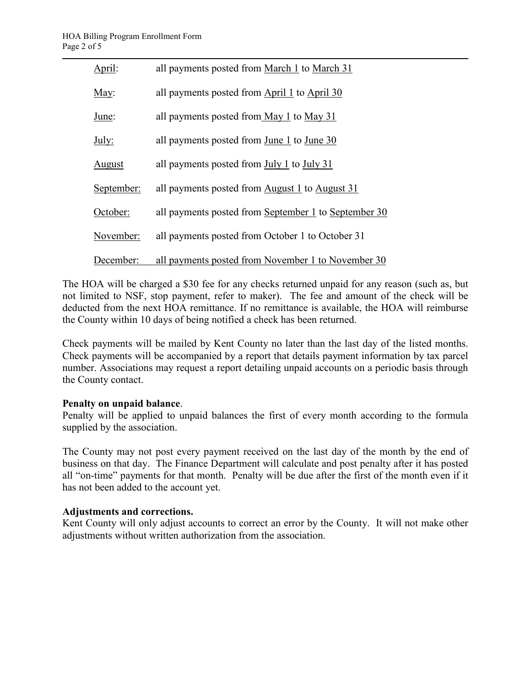| April:     | all payments posted from March 1 to March 31         |
|------------|------------------------------------------------------|
| May:       | all payments posted from April 1 to April 30         |
| June:      | all payments posted from May 1 to May 31             |
| July:      | all payments posted from June 1 to June 30           |
| August     | all payments posted from July 1 to July 31           |
| September: | all payments posted from August 1 to August 31       |
| October:   | all payments posted from September 1 to September 30 |
| November:  | all payments posted from October 1 to October 31     |
| December:  | all payments posted from November 1 to November 30   |

The HOA will be charged a \$30 fee for any checks returned unpaid for any reason (such as, but not limited to NSF, stop payment, refer to maker). The fee and amount of the check will be deducted from the next HOA remittance. If no remittance is available, the HOA will reimburse the County within 10 days of being notified a check has been returned.

Check payments will be mailed by Kent County no later than the last day of the listed months. Check payments will be accompanied by a report that details payment information by tax parcel number. Associations may request a report detailing unpaid accounts on a periodic basis through the County contact.

# **Penalty on unpaid balance**.

Penalty will be applied to unpaid balances the first of every month according to the formula supplied by the association.

The County may not post every payment received on the last day of the month by the end of business on that day. The Finance Department will calculate and post penalty after it has posted all "on-time" payments for that month. Penalty will be due after the first of the month even if it has not been added to the account yet.

# **Adjustments and corrections.**

Kent County will only adjust accounts to correct an error by the County. It will not make other adjustments without written authorization from the association.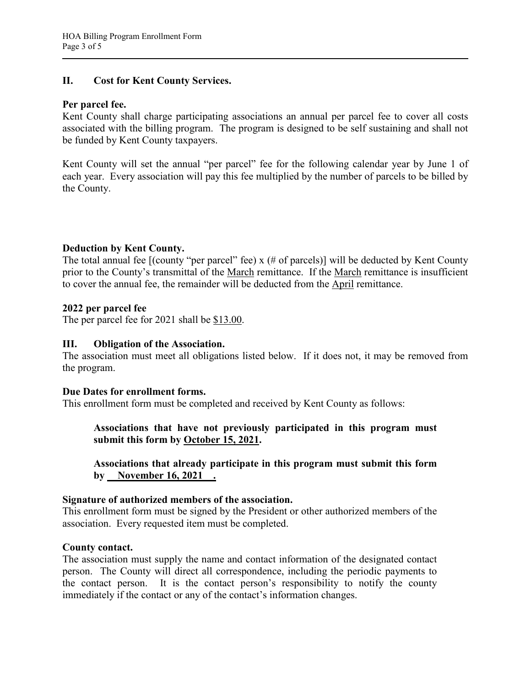# **II. Cost for Kent County Services.**

## **Per parcel fee.**

Kent County shall charge participating associations an annual per parcel fee to cover all costs associated with the billing program. The program is designed to be self sustaining and shall not be funded by Kent County taxpayers.

Kent County will set the annual "per parcel" fee for the following calendar year by June 1 of each year. Every association will pay this fee multiplied by the number of parcels to be billed by the County.

# **Deduction by Kent County.**

The total annual fee  $[(\text{county "per parcel" fee}) \times (\# of parcels)]$  will be deducted by Kent County prior to the County's transmittal of the March remittance. If the March remittance is insufficient to cover the annual fee, the remainder will be deducted from the April remittance.

#### **2022 per parcel fee**

The per parcel fee for 2021 shall be \$13.00.

# **III. Obligation of the Association.**

The association must meet all obligations listed below. If it does not, it may be removed from the program.

#### **Due Dates for enrollment forms.**

This enrollment form must be completed and received by Kent County as follows:

**Associations that have not previously participated in this program must submit this form by October 15, 2021.**

**Associations that already participate in this program must submit this form by** November 16, 2021 .

# **Signature of authorized members of the association.**

This enrollment form must be signed by the President or other authorized members of the association. Every requested item must be completed.

# **County contact.**

The association must supply the name and contact information of the designated contact person. The County will direct all correspondence, including the periodic payments to the contact person. It is the contact person's responsibility to notify the county immediately if the contact or any of the contact's information changes.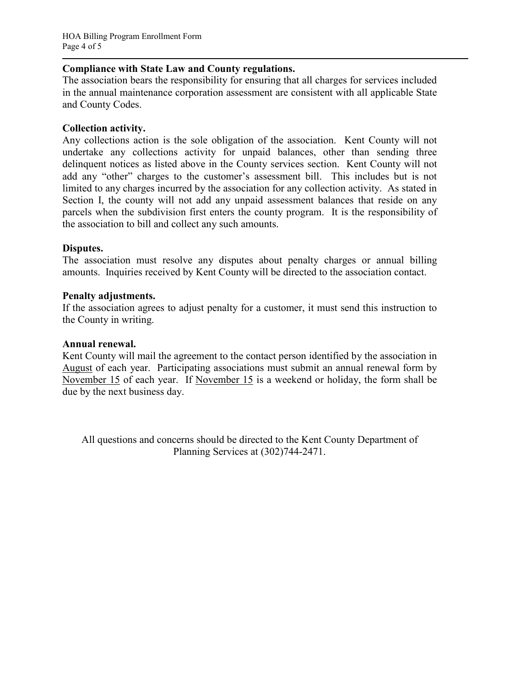## **Compliance with State Law and County regulations.**

The association bears the responsibility for ensuring that all charges for services included in the annual maintenance corporation assessment are consistent with all applicable State and County Codes.

## **Collection activity.**

Any collections action is the sole obligation of the association. Kent County will not undertake any collections activity for unpaid balances, other than sending three delinquent notices as listed above in the County services section. Kent County will not add any "other" charges to the customer's assessment bill. This includes but is not limited to any charges incurred by the association for any collection activity. As stated in Section I, the county will not add any unpaid assessment balances that reside on any parcels when the subdivision first enters the county program. It is the responsibility of the association to bill and collect any such amounts.

#### **Disputes.**

The association must resolve any disputes about penalty charges or annual billing amounts. Inquiries received by Kent County will be directed to the association contact.

#### **Penalty adjustments.**

If the association agrees to adjust penalty for a customer, it must send this instruction to the County in writing.

#### **Annual renewal.**

Kent County will mail the agreement to the contact person identified by the association in August of each year. Participating associations must submit an annual renewal form by November 15 of each year. If November 15 is a weekend or holiday, the form shall be due by the next business day.

All questions and concerns should be directed to the Kent County Department of Planning Services at (302)744-2471.